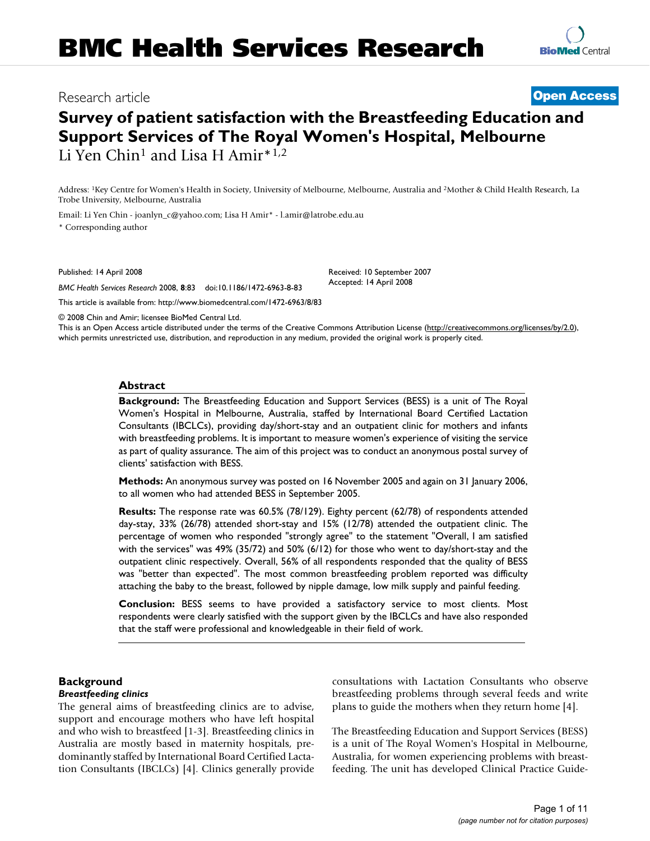## Research article **[Open Access](http://www.biomedcentral.com/info/about/charter/)**

# **Survey of patient satisfaction with the Breastfeeding Education and Support Services of The Royal Women's Hospital, Melbourne** Li Yen Chin<sup>1</sup> and Lisa H Amir<sup>\*1,2</sup>

Address: 1Key Centre for Women's Health in Society, University of Melbourne, Melbourne, Australia and 2Mother & Child Health Research, La Trobe University, Melbourne, Australia

Email: Li Yen Chin - joanlyn\_c@yahoo.com; Lisa H Amir\* - l.amir@latrobe.edu.au \* Corresponding author

Published: 14 April 2008

*BMC Health Services Research* 2008, **8**:83 doi:10.1186/1472-6963-8-83

[This article is available from: http://www.biomedcentral.com/1472-6963/8/83](http://www.biomedcentral.com/1472-6963/8/83)

© 2008 Chin and Amir; licensee BioMed Central Ltd.

This is an Open Access article distributed under the terms of the Creative Commons Attribution License [\(http://creativecommons.org/licenses/by/2.0\)](http://creativecommons.org/licenses/by/2.0), which permits unrestricted use, distribution, and reproduction in any medium, provided the original work is properly cited.

Received: 10 September 2007 Accepted: 14 April 2008

### **Abstract**

**Background:** The Breastfeeding Education and Support Services (BESS) is a unit of The Royal Women's Hospital in Melbourne, Australia, staffed by International Board Certified Lactation Consultants (IBCLCs), providing day/short-stay and an outpatient clinic for mothers and infants with breastfeeding problems. It is important to measure women's experience of visiting the service as part of quality assurance. The aim of this project was to conduct an anonymous postal survey of clients' satisfaction with BESS.

**Methods:** An anonymous survey was posted on 16 November 2005 and again on 31 January 2006, to all women who had attended BESS in September 2005.

**Results:** The response rate was 60.5% (78/129). Eighty percent (62/78) of respondents attended day-stay, 33% (26/78) attended short-stay and 15% (12/78) attended the outpatient clinic. The percentage of women who responded "strongly agree" to the statement "Overall, I am satisfied with the services" was 49% (35/72) and 50% (6/12) for those who went to day/short-stay and the outpatient clinic respectively. Overall, 56% of all respondents responded that the quality of BESS was "better than expected". The most common breastfeeding problem reported was difficulty attaching the baby to the breast, followed by nipple damage, low milk supply and painful feeding.

**Conclusion:** BESS seems to have provided a satisfactory service to most clients. Most respondents were clearly satisfied with the support given by the IBCLCs and have also responded that the staff were professional and knowledgeable in their field of work.

### **Background** *Breastfeeding clinics*

The general aims of breastfeeding clinics are to advise, support and encourage mothers who have left hospital and who wish to breastfeed [1-3]. Breastfeeding clinics in Australia are mostly based in maternity hospitals, predominantly staffed by International Board Certified Lactation Consultants (IBCLCs) [4]. Clinics generally provide consultations with Lactation Consultants who observe breastfeeding problems through several feeds and write plans to guide the mothers when they return home [4].

The Breastfeeding Education and Support Services (BESS) is a unit of The Royal Women's Hospital in Melbourne, Australia, for women experiencing problems with breastfeeding. The unit has developed Clinical Practice Guide-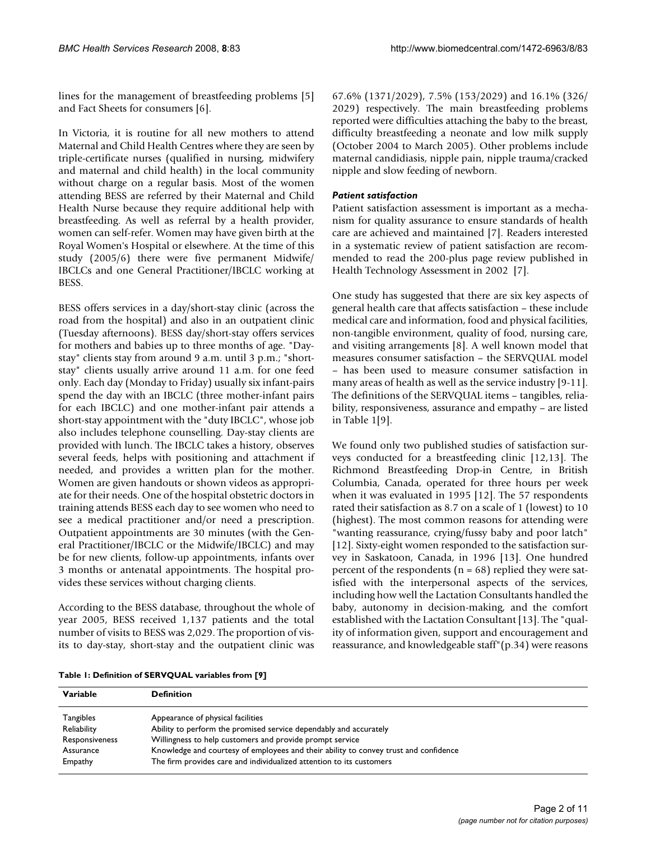lines for the management of breastfeeding problems [5] and Fact Sheets for consumers [6].

In Victoria, it is routine for all new mothers to attend Maternal and Child Health Centres where they are seen by triple-certificate nurses (qualified in nursing, midwifery and maternal and child health) in the local community without charge on a regular basis. Most of the women attending BESS are referred by their Maternal and Child Health Nurse because they require additional help with breastfeeding. As well as referral by a health provider, women can self-refer. Women may have given birth at the Royal Women's Hospital or elsewhere. At the time of this study (2005/6) there were five permanent Midwife/ IBCLCs and one General Practitioner/IBCLC working at BESS.

BESS offers services in a day/short-stay clinic (across the road from the hospital) and also in an outpatient clinic (Tuesday afternoons). BESS day/short-stay offers services for mothers and babies up to three months of age. "Daystay" clients stay from around 9 a.m. until 3 p.m.; "shortstay" clients usually arrive around 11 a.m. for one feed only. Each day (Monday to Friday) usually six infant-pairs spend the day with an IBCLC (three mother-infant pairs for each IBCLC) and one mother-infant pair attends a short-stay appointment with the "duty IBCLC", whose job also includes telephone counselling. Day-stay clients are provided with lunch. The IBCLC takes a history, observes several feeds, helps with positioning and attachment if needed, and provides a written plan for the mother. Women are given handouts or shown videos as appropriate for their needs. One of the hospital obstetric doctors in training attends BESS each day to see women who need to see a medical practitioner and/or need a prescription. Outpatient appointments are 30 minutes (with the General Practitioner/IBCLC or the Midwife/IBCLC) and may be for new clients, follow-up appointments, infants over 3 months or antenatal appointments. The hospital provides these services without charging clients.

According to the BESS database, throughout the whole of year 2005, BESS received 1,137 patients and the total number of visits to BESS was 2,029. The proportion of visits to day-stay, short-stay and the outpatient clinic was

67.6% (1371/2029), 7.5% (153/2029) and 16.1% (326/ 2029) respectively. The main breastfeeding problems reported were difficulties attaching the baby to the breast, difficulty breastfeeding a neonate and low milk supply (October 2004 to March 2005). Other problems include maternal candidiasis, nipple pain, nipple trauma/cracked nipple and slow feeding of newborn.

### *Patient satisfaction*

Patient satisfaction assessment is important as a mechanism for quality assurance to ensure standards of health care are achieved and maintained [7]. Readers interested in a systematic review of patient satisfaction are recommended to read the 200-plus page review published in Health Technology Assessment in 2002 [7].

One study has suggested that there are six key aspects of general health care that affects satisfaction – these include medical care and information, food and physical facilities, non-tangible environment, quality of food, nursing care, and visiting arrangements [8]. A well known model that measures consumer satisfaction – the SERVQUAL model – has been used to measure consumer satisfaction in many areas of health as well as the service industry [9-11]. The definitions of the SERVQUAL items – tangibles, reliability, responsiveness, assurance and empathy – are listed in Table 1[9].

We found only two published studies of satisfaction surveys conducted for a breastfeeding clinic [12,13]. The Richmond Breastfeeding Drop-in Centre, in British Columbia, Canada, operated for three hours per week when it was evaluated in 1995 [12]. The 57 respondents rated their satisfaction as 8.7 on a scale of 1 (lowest) to 10 (highest). The most common reasons for attending were "wanting reassurance, crying/fussy baby and poor latch" [12]. Sixty-eight women responded to the satisfaction survey in Saskatoon, Canada, in 1996 [13]. One hundred percent of the respondents ( $n = 68$ ) replied they were satisfied with the interpersonal aspects of the services, including how well the Lactation Consultants handled the baby, autonomy in decision-making, and the comfort established with the Lactation Consultant [13]. The "quality of information given, support and encouragement and reassurance, and knowledgeable staff"(p.34) were reasons

| Table 1: Definition of SERVQUAL variables from [9] |  |
|----------------------------------------------------|--|
|----------------------------------------------------|--|

| Variable       | <b>Definition</b>                                                                    |
|----------------|--------------------------------------------------------------------------------------|
| Tangibles      | Appearance of physical facilities                                                    |
| Reliability    | Ability to perform the promised service dependably and accurately                    |
| Responsiveness | Willingness to help customers and provide prompt service                             |
| Assurance      | Knowledge and courtesy of employees and their ability to convey trust and confidence |
| Empathy        | The firm provides care and individualized attention to its customers                 |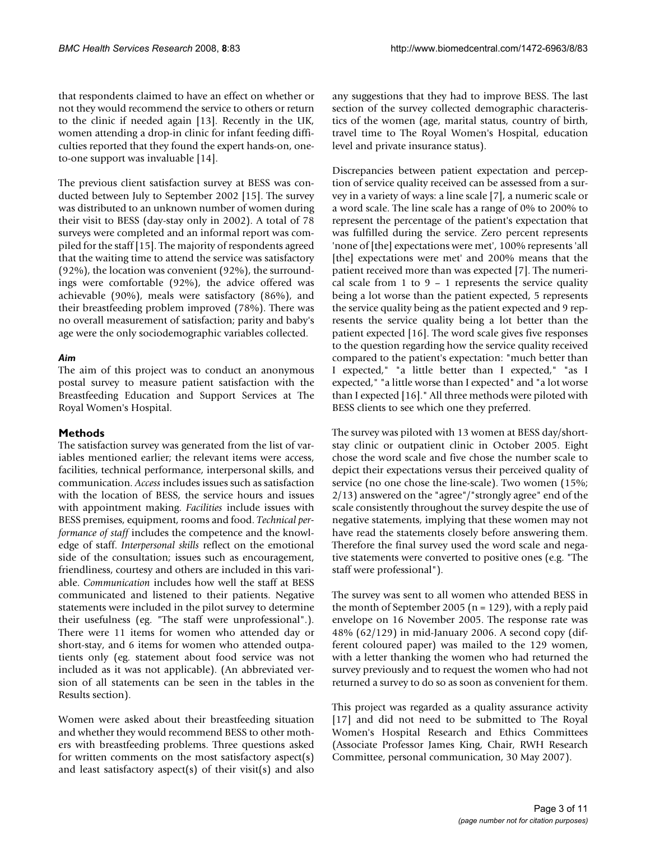that respondents claimed to have an effect on whether or not they would recommend the service to others or return to the clinic if needed again [13]. Recently in the UK, women attending a drop-in clinic for infant feeding difficulties reported that they found the expert hands-on, oneto-one support was invaluable [14].

The previous client satisfaction survey at BESS was conducted between July to September 2002 [15]. The survey was distributed to an unknown number of women during their visit to BESS (day-stay only in 2002). A total of 78 surveys were completed and an informal report was compiled for the staff [15]. The majority of respondents agreed that the waiting time to attend the service was satisfactory (92%), the location was convenient (92%), the surroundings were comfortable (92%), the advice offered was achievable (90%), meals were satisfactory (86%), and their breastfeeding problem improved (78%). There was no overall measurement of satisfaction; parity and baby's age were the only sociodemographic variables collected.

### *Aim*

The aim of this project was to conduct an anonymous postal survey to measure patient satisfaction with the Breastfeeding Education and Support Services at The Royal Women's Hospital.

### **Methods**

The satisfaction survey was generated from the list of variables mentioned earlier; the relevant items were access, facilities, technical performance, interpersonal skills, and communication. *Access* includes issues such as satisfaction with the location of BESS, the service hours and issues with appointment making. *Facilities* include issues with BESS premises, equipment, rooms and food. *Technical performance of staff* includes the competence and the knowledge of staff. *Interpersonal skills* reflect on the emotional side of the consultation; issues such as encouragement, friendliness, courtesy and others are included in this variable. *Communication* includes how well the staff at BESS communicated and listened to their patients. Negative statements were included in the pilot survey to determine their usefulness (eg. "The staff were unprofessional".). There were 11 items for women who attended day or short-stay, and 6 items for women who attended outpatients only (eg. statement about food service was not included as it was not applicable). (An abbreviated version of all statements can be seen in the tables in the Results section).

Women were asked about their breastfeeding situation and whether they would recommend BESS to other mothers with breastfeeding problems. Three questions asked for written comments on the most satisfactory aspect(s) and least satisfactory aspect(s) of their visit(s) and also

any suggestions that they had to improve BESS. The last section of the survey collected demographic characteristics of the women (age, marital status, country of birth, travel time to The Royal Women's Hospital, education level and private insurance status).

Discrepancies between patient expectation and perception of service quality received can be assessed from a survey in a variety of ways: a line scale [7], a numeric scale or a word scale. The line scale has a range of 0% to 200% to represent the percentage of the patient's expectation that was fulfilled during the service. Zero percent represents 'none of [the] expectations were met', 100% represents 'all [the] expectations were met' and 200% means that the patient received more than was expected [7]. The numerical scale from  $1$  to  $9 - 1$  represents the service quality being a lot worse than the patient expected, 5 represents the service quality being as the patient expected and 9 represents the service quality being a lot better than the patient expected [16]. The word scale gives five responses to the question regarding how the service quality received compared to the patient's expectation: "much better than I expected," "a little better than I expected," "as I expected," "a little worse than I expected" and "a lot worse than I expected [16]." All three methods were piloted with BESS clients to see which one they preferred.

The survey was piloted with 13 women at BESS day/shortstay clinic or outpatient clinic in October 2005. Eight chose the word scale and five chose the number scale to depict their expectations versus their perceived quality of service (no one chose the line-scale). Two women (15%; 2/13) answered on the "agree"/"strongly agree" end of the scale consistently throughout the survey despite the use of negative statements, implying that these women may not have read the statements closely before answering them. Therefore the final survey used the word scale and negative statements were converted to positive ones (e.g. "The staff were professional").

The survey was sent to all women who attended BESS in the month of September 2005 ( $n = 129$ ), with a reply paid envelope on 16 November 2005. The response rate was 48% (62/129) in mid-January 2006. A second copy (different coloured paper) was mailed to the 129 women, with a letter thanking the women who had returned the survey previously and to request the women who had not returned a survey to do so as soon as convenient for them.

This project was regarded as a quality assurance activity [17] and did not need to be submitted to The Royal Women's Hospital Research and Ethics Committees (Associate Professor James King, Chair, RWH Research Committee, personal communication, 30 May 2007).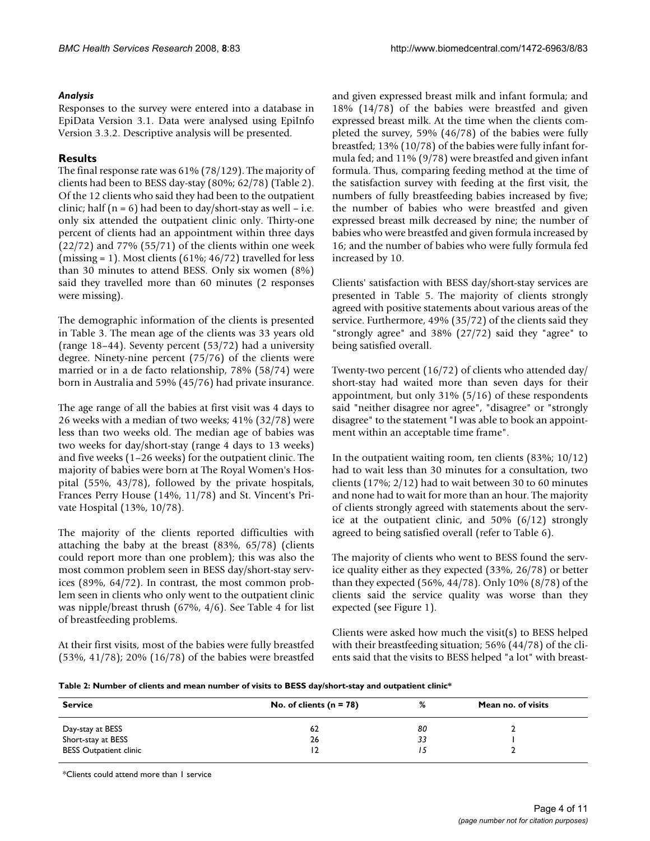### *Analysis*

Responses to the survey were entered into a database in EpiData Version 3.1. Data were analysed using EpiInfo Version 3.3.2. Descriptive analysis will be presented.

### **Results**

The final response rate was 61% (78/129). The majority of clients had been to BESS day-stay (80%; 62/78) (Table 2). Of the 12 clients who said they had been to the outpatient clinic; half  $(n = 6)$  had been to day/short-stay as well – i.e. only six attended the outpatient clinic only. Thirty-one percent of clients had an appointment within three days  $(22/72)$  and 77%  $(55/71)$  of the clients within one week (missing = 1). Most clients (61%; 46/72) travelled for less than 30 minutes to attend BESS. Only six women (8%) said they travelled more than 60 minutes (2 responses were missing).

The demographic information of the clients is presented in Table 3. The mean age of the clients was 33 years old (range 18–44). Seventy percent (53/72) had a university degree. Ninety-nine percent (75/76) of the clients were married or in a de facto relationship, 78% (58/74) were born in Australia and 59% (45/76) had private insurance.

The age range of all the babies at first visit was 4 days to 26 weeks with a median of two weeks; 41% (32/78) were less than two weeks old. The median age of babies was two weeks for day/short-stay (range 4 days to 13 weeks) and five weeks (1–26 weeks) for the outpatient clinic. The majority of babies were born at The Royal Women's Hospital (55%, 43/78), followed by the private hospitals, Frances Perry House (14%, 11/78) and St. Vincent's Private Hospital (13%, 10/78).

The majority of the clients reported difficulties with attaching the baby at the breast (83%, 65/78) (clients could report more than one problem); this was also the most common problem seen in BESS day/short-stay services (89%, 64/72). In contrast, the most common problem seen in clients who only went to the outpatient clinic was nipple/breast thrush (67%, 4/6). See Table 4 for list of breastfeeding problems.

At their first visits, most of the babies were fully breastfed (53%, 41/78); 20% (16/78) of the babies were breastfed

and given expressed breast milk and infant formula; and 18% (14/78) of the babies were breastfed and given expressed breast milk. At the time when the clients completed the survey, 59% (46/78) of the babies were fully breastfed; 13% (10/78) of the babies were fully infant formula fed; and 11% (9/78) were breastfed and given infant formula. Thus, comparing feeding method at the time of the satisfaction survey with feeding at the first visit, the numbers of fully breastfeeding babies increased by five; the number of babies who were breastfed and given expressed breast milk decreased by nine; the number of babies who were breastfed and given formula increased by 16; and the number of babies who were fully formula fed increased by 10.

Clients' satisfaction with BESS day/short-stay services are presented in Table 5. The majority of clients strongly agreed with positive statements about various areas of the service. Furthermore, 49% (35/72) of the clients said they "strongly agree" and 38% (27/72) said they "agree" to being satisfied overall.

Twenty-two percent (16/72) of clients who attended day/ short-stay had waited more than seven days for their appointment, but only 31% (5/16) of these respondents said "neither disagree nor agree", "disagree" or "strongly disagree" to the statement "I was able to book an appointment within an acceptable time frame".

In the outpatient waiting room, ten clients (83%; 10/12) had to wait less than 30 minutes for a consultation, two clients (17%; 2/12) had to wait between 30 to 60 minutes and none had to wait for more than an hour. The majority of clients strongly agreed with statements about the service at the outpatient clinic, and 50% (6/12) strongly agreed to being satisfied overall (refer to Table 6).

The majority of clients who went to BESS found the service quality either as they expected (33%, 26/78) or better than they expected (56%, 44/78). Only 10% (8/78) of the clients said the service quality was worse than they expected (see Figure 1).

Clients were asked how much the visit(s) to BESS helped with their breastfeeding situation; 56% (44/78) of the clients said that the visits to BESS helped "a lot" with breast-

|  | Table 2: Number of clients and mean number of visits to BESS day/short-stay and outpatient clinic* |  |  |  |
|--|----------------------------------------------------------------------------------------------------|--|--|--|
|--|----------------------------------------------------------------------------------------------------|--|--|--|

| Service                       | No. of clients $(n = 78)$ | %  | Mean no. of visits |
|-------------------------------|---------------------------|----|--------------------|
| Day-stay at BESS              | 62                        | 80 |                    |
| Short-stay at BESS            | 26                        | 33 |                    |
| <b>BESS Outpatient clinic</b> |                           |    |                    |

\*Clients could attend more than 1 service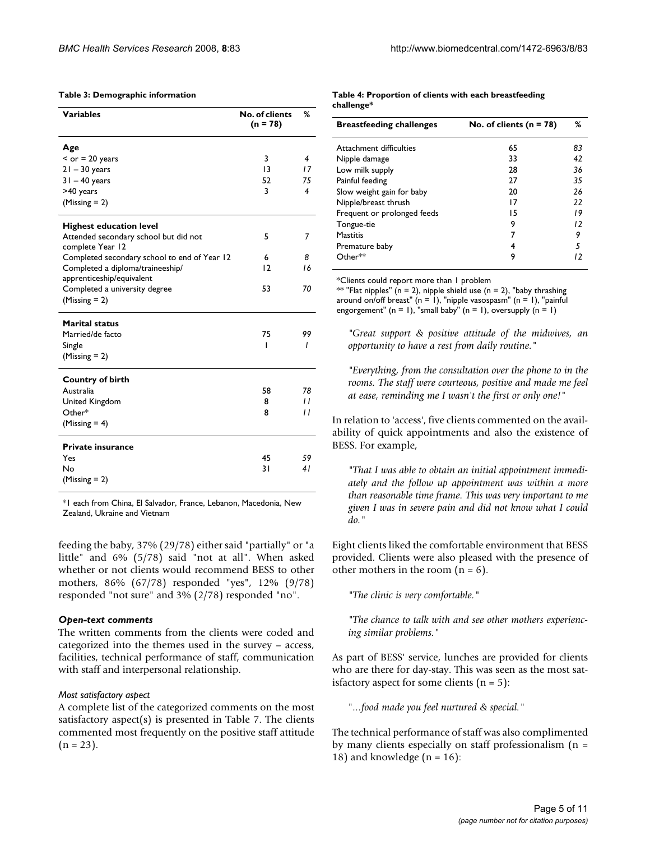#### **Table 3: Demographic information**

| <b>Variables</b>                                          | No. of clients<br>$(n = 78)$ | %            |
|-----------------------------------------------------------|------------------------------|--------------|
| Age                                                       |                              |              |
| $<$ or = 20 years                                         | 3                            | 4            |
| $21 - 30$ years                                           | 13                           | 17           |
| $31 - 40$ years                                           | 52                           | 75           |
| >40 years                                                 | 3                            | 4            |
| $(Missing = 2)$                                           |                              |              |
| <b>Highest education level</b>                            |                              |              |
| Attended secondary school but did not<br>complete Year 12 | 5                            | 7            |
| Completed secondary school to end of Year 12              | 6                            | 8            |
| Completed a diploma/traineeship/                          | 12                           | 16           |
| apprenticeship/equivalent                                 |                              |              |
| Completed a university degree                             | 53                           | 70           |
| $(Missing = 2)$                                           |                              |              |
| <b>Marital status</b>                                     |                              |              |
| Married/de facto                                          | 75                           | 99           |
| Single                                                    | ı                            | I            |
| $(Missing = 2)$                                           |                              |              |
| Country of birth                                          |                              |              |
| Australia                                                 | 58                           | 78           |
| United Kingdom                                            | 8                            | $\mathbf{1}$ |
| $Other*$                                                  | 8                            | $\mathbf{1}$ |
| $(Missing = 4)$                                           |                              |              |
| <b>Private insurance</b>                                  |                              |              |
| Yes                                                       | 45                           | 59           |
| N٥                                                        | 31                           | 41           |
| $(Missing = 2)$                                           |                              |              |
|                                                           |                              |              |

\*1 each from China, El Salvador, France, Lebanon, Macedonia, New Zealand, Ukraine and Vietnam

feeding the baby, 37% (29/78) either said "partially" or "a little" and 6% (5/78) said "not at all". When asked whether or not clients would recommend BESS to other mothers, 86% (67/78) responded "yes", 12% (9/78) responded "not sure" and 3% (2/78) responded "no".

#### *Open-text comments*

The written comments from the clients were coded and categorized into the themes used in the survey – access, facilities, technical performance of staff, communication with staff and interpersonal relationship.

#### *Most satisfactory aspect*

A complete list of the categorized comments on the most satisfactory aspect(s) is presented in Table 7. The clients commented most frequently on the positive staff attitude  $(n = 23)$ .

| Table 4: Proportion of clients with each breastfeeding |  |  |
|--------------------------------------------------------|--|--|
| challenge*                                             |  |  |

| <b>Breastfeeding challenges</b> | No. of clients $(n = 78)$ | %  |
|---------------------------------|---------------------------|----|
| Attachment difficulties         | 65                        | 83 |
| Nipple damage                   | 33                        | 42 |
| Low milk supply                 | 28                        | 36 |
| Painful feeding                 | 27                        | 35 |
| Slow weight gain for baby       | 20                        | 26 |
| Nipple/breast thrush            | 17                        | 22 |
| Frequent or prolonged feeds     | 15                        | 19 |
| Tongue-tie                      | 9                         | 12 |
| Mastitis                        | 7                         | 9  |
| Premature baby                  | 4                         | 5  |
| Other**                         | 9                         |    |

\*Clients could report more than 1 problem

\*\* "Flat nipples" (n = 2), nipple shield use (n = 2), "baby thrashing around on/off breast"  $(n = 1)$ , "nipple vasospasm"  $(n = 1)$ , "painful engorgement" ( $n = 1$ ), "small baby" ( $n = 1$ ), oversupply ( $n = 1$ )

*"Great support & positive attitude of the midwives, an opportunity to have a rest from daily routine."*

*"Everything, from the consultation over the phone to in the rooms. The staff were courteous, positive and made me feel at ease, reminding me I wasn't the first or only one!"*

In relation to 'access', five clients commented on the availability of quick appointments and also the existence of BESS. For example,

*"That I was able to obtain an initial appointment immediately and the follow up appointment was within a more than reasonable time frame. This was very important to me given I was in severe pain and did not know what I could do."*

Eight clients liked the comfortable environment that BESS provided. Clients were also pleased with the presence of other mothers in the room  $(n = 6)$ .

*"The clinic is very comfortable."*

*"The chance to talk with and see other mothers experiencing similar problems."*

As part of BESS' service, lunches are provided for clients who are there for day-stay. This was seen as the most satisfactory aspect for some clients  $(n = 5)$ :

"*...food made you feel nurtured & special."*

The technical performance of staff was also complimented by many clients especially on staff professionalism  $(n =$ 18) and knowledge ( $n = 16$ ):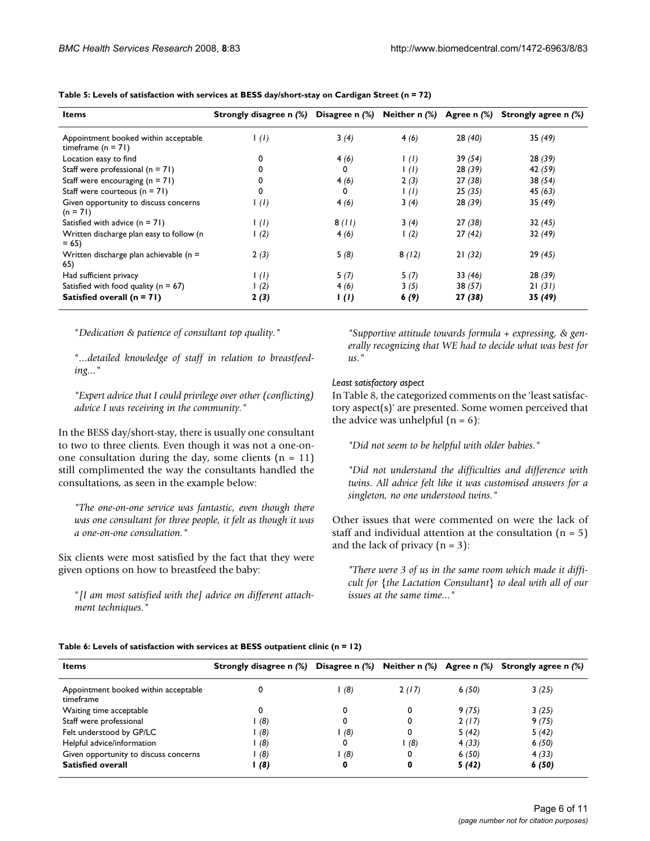| <b>Items</b>                                                 | Strongly disagree n (%) | Disagree n (%) |                              |         | Neither n $(\%)$ Agree n $(\%)$ Strongly agree n $(\%)$ |
|--------------------------------------------------------------|-------------------------|----------------|------------------------------|---------|---------------------------------------------------------|
| Appointment booked within acceptable<br>timeframe $(n = 71)$ | $\mathsf{I}(I)$         | 3(4)           | 4(6)                         | 28(40)  | 35(49)                                                  |
| Location easy to find                                        | 0                       | 4(6)           | $\left( \frac{1}{2} \right)$ | 39 (54) | 28 (39)                                                 |
| Staff were professional $(n = 71)$                           | 0                       | 0              | $\vert$ (l)                  | 28 (39) | 42 (59)                                                 |
| Staff were encouraging $(n = 71)$                            | 0                       | 4(6)           | 2(3)                         | 27(38)  | 38(54)                                                  |
| Staff were courteous $(n = 71)$                              | 0                       | 0              | $\left( \frac{1}{2} \right)$ | 25(35)  | 45(63)                                                  |
| Given opportunity to discuss concerns<br>$(n = 71)$          | $\mathsf{I}(I)$         | 4(6)           | 3(4)                         | 28 (39) | 35(49)                                                  |
| Satisfied with advice $(n = 71)$                             | $\vert$ (l)             | 8(11)          | 3(4)                         | 27(38)  | 32(45)                                                  |
| Written discharge plan easy to follow (n<br>$= 65$           | $\binom{2}{}$           | 4(6)           | $\binom{2}{}$                | 27(42)  | 32(49)                                                  |
| Written discharge plan achievable ( $n =$<br>65)             | 2(3)                    | 5(8)           | 8(12)                        | 21(32)  | 29(45)                                                  |
| Had sufficient privacy                                       | $\mathsf{I}(I)$         | 5(7)           | 5(7)                         | 33 (46) | 28 (39)                                                 |
| Satisfied with food quality ( $n = 67$ )                     | $\mathsf{I}$ (2)        | 4(6)           | 3(5)                         | 38 (57) | 21(31)                                                  |
| Satisfied overall $(n = 71)$                                 | 2(3)                    | $\frac{1}{1}$  | 6(9)                         | 27 (38) | 35 (49)                                                 |

**Table 5: Levels of satisfaction with services at BESS day/short-stay on Cardigan Street (n = 72)**

"*Dedication & patience of consultant top quality."*

"*...detailed knowledge of staff in relation to breastfeeding..."*

*"Expert advice that I could privilege over other (conflicting) advice I was receiving in the community."*

In the BESS day/short-stay, there is usually one consultant to two to three clients. Even though it was not a one-onone consultation during the day, some clients  $(n = 11)$ still complimented the way the consultants handled the consultations, as seen in the example below:

*"The one-on-one service was fantastic, even though there was one consultant for three people, it felt as though it was a one-on-one consultation."*

Six clients were most satisfied by the fact that they were given options on how to breastfeed the baby:

"*[I am most satisfied with the] advice on different attachment techniques."*

*"Supportive attitude towards formula + expressing, & generally recognizing that WE had to decide what was best for us."*

### *Least satisfactory aspect*

In Table 8, the categorized comments on the 'least satisfactory aspect(s)' are presented. Some women perceived that the advice was unhelpful  $(n = 6)$ :

*"Did not seem to be helpful with older babies."*

*"Did not understand the difficulties and difference with twins. All advice felt like it was customised answers for a singleton, no one understood twins."*

Other issues that were commented on were the lack of staff and individual attention at the consultation  $(n = 5)$ and the lack of privacy  $(n = 3)$ :

*"There were 3 of us in the same room which made it difficult for {the Lactation Consultant} to deal with all of our issues at the same time..."*

#### **Table 6: Levels of satisfaction with services at BESS outpatient clinic (n = 12)**

| <b>Items</b>                                      | Strongly disagree n $(\%)$ Disagree n $(\%)$ Neither n $(\%)$ Agree n $(\%)$ Strongly agree n $(\%)$ |     |       |       |       |
|---------------------------------------------------|------------------------------------------------------------------------------------------------------|-----|-------|-------|-------|
| Appointment booked within acceptable<br>timeframe | 0                                                                                                    | (8) | 2(17) | 6(50) | 3(25) |
| Waiting time acceptable                           | 0                                                                                                    | 0   | 0     | 9(75) | 3(25) |
| Staff were professional                           | (8)                                                                                                  | 0   | 0     | 2(17) | 9(75) |
| Felt understood by GP/LC                          | (8)                                                                                                  | (8) | 0     | 5(42) | 5(42) |
| Helpful advice/information                        | (8)                                                                                                  | 0   | (8)   | 4(33) | 6(50) |
| Given opportunity to discuss concerns             | (8)                                                                                                  | (8) | 0     | 6(50) | 4(33) |
| <b>Satisfied overall</b>                          | (8)                                                                                                  | 0   | 0     | 5(42) | 6(50) |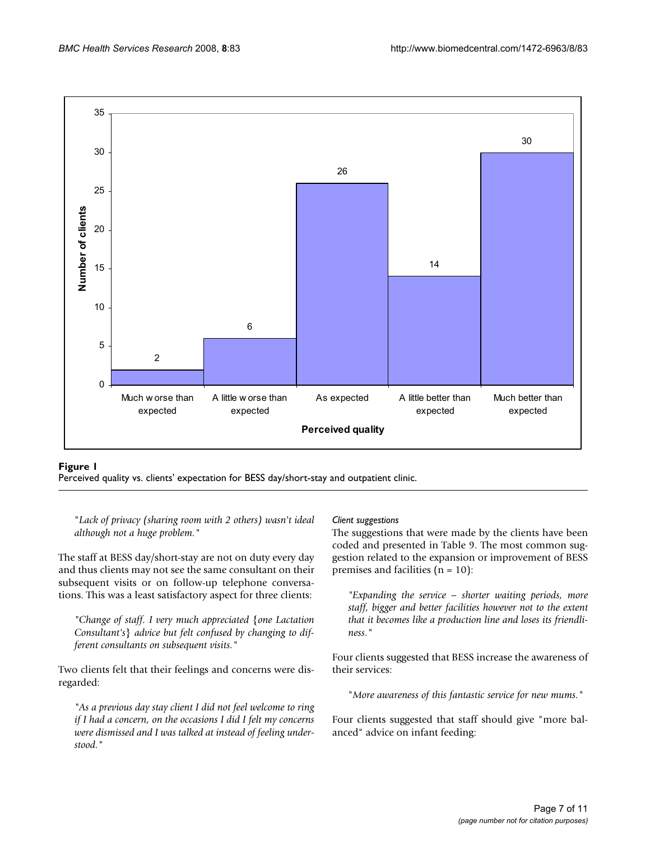

### Perceived and and BESS day short-stay and outpatient clients in BESS day short-stay and outpatient client client client clinical control of BESS day short-stay and outpatient clinical control of BESS day short-stay and out

Perceived quality vs. clients' expectation for BESS day/short-stay and outpatient clinic.

"*Lack of privacy (sharing room with 2 others) wasn't ideal although not a huge problem."*

The staff at BESS day/short-stay are not on duty every day and thus clients may not see the same consultant on their subsequent visits or on follow-up telephone conversations. This was a least satisfactory aspect for three clients:

*"Change of staff. I very much appreciated {one Lactation Consultant's} advice but felt confused by changing to different consultants on subsequent visits."*

Two clients felt that their feelings and concerns were disregarded:

*"As a previous day stay client I did not feel welcome to ring if I had a concern, on the occasions I did I felt my concerns were dismissed and I was talked at instead of feeling understood."*

### *Client suggestions*

The suggestions that were made by the clients have been coded and presented in Table 9. The most common suggestion related to the expansion or improvement of BESS premises and facilities (n = 10):

*"Expanding the service – shorter waiting periods, more staff, bigger and better facilities however not to the extent that it becomes like a production line and loses its friendliness."*

Four clients suggested that BESS increase the awareness of their services:

"*More awareness of this fantastic service for new mums."*

Four clients suggested that staff should give "more balanced" advice on infant feeding: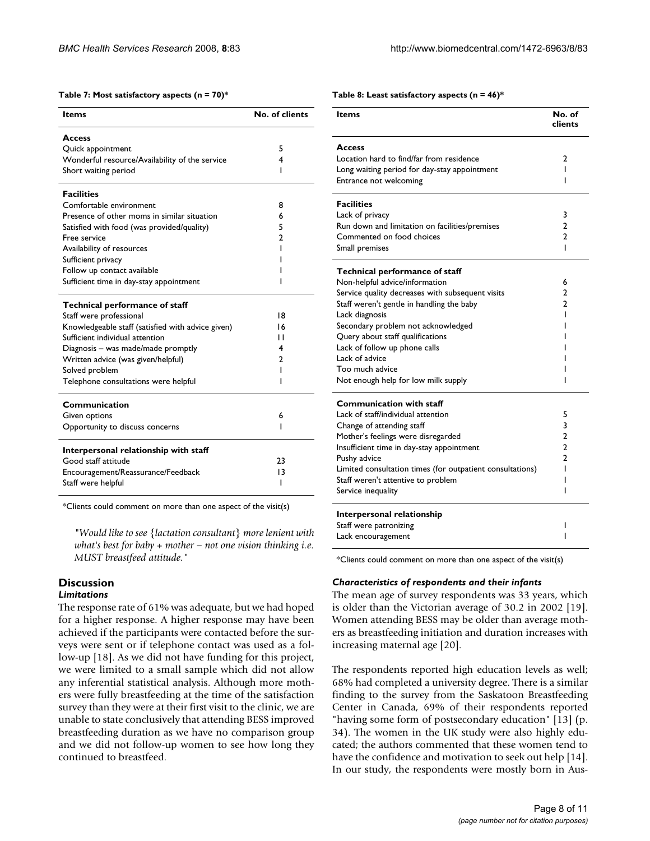#### **Table 7: Most satisfactory aspects (n = 70)\***

| ltems                                             | No. of clients |
|---------------------------------------------------|----------------|
| Access                                            |                |
| Quick appointment                                 | 5              |
| Wonderful resource/Availability of the service    | 4              |
| Short waiting period                              | ı              |
| <b>Facilities</b>                                 |                |
| Comfortable environment                           | 8              |
| Presence of other moms in similar situation       | 6              |
| Satisfied with food (was provided/quality)        | 5              |
| Free service                                      | $\overline{2}$ |
| Availability of resources                         | ı              |
| Sufficient privacy                                |                |
| Follow up contact available                       |                |
| Sufficient time in day-stay appointment           | ı              |
| Technical performance of staff                    |                |
| Staff were professional                           | 18             |
| Knowledgeable staff (satisfied with advice given) | 16             |
| Sufficient individual attention                   | П              |
| Diagnosis - was made/made promptly                | 4              |
| Written advice (was given/helpful)                | 2              |
| Solved problem                                    | ı              |
| Telephone consultations were helpful              | ı              |
| Communication                                     |                |
| Given options                                     | 6              |
| Opportunity to discuss concerns                   | ı              |
| Interpersonal relationship with staff             |                |
| Good staff attitude                               | 23             |
| Encouragement/Reassurance/Feedback                | 13             |
| Staff were helpful                                | ı              |
|                                                   |                |

\*Clients could comment on more than one aspect of the visit(s)

*"Would like to see {lactation consultant} more lenient with what's best for baby + mother – not one vision thinking i.e. MUST breastfeed attitude."*

# **Discussion**

### *Limitations*

The response rate of 61% was adequate, but we had hoped for a higher response. A higher response may have been achieved if the participants were contacted before the surveys were sent or if telephone contact was used as a follow-up [18]. As we did not have funding for this project, we were limited to a small sample which did not allow any inferential statistical analysis. Although more mothers were fully breastfeeding at the time of the satisfaction survey than they were at their first visit to the clinic, we are unable to state conclusively that attending BESS improved breastfeeding duration as we have no comparison group and we did not follow-up women to see how long they continued to breastfeed.

**Table 8: Least satisfactory aspects (n = 46)\***

| Items                                                     | No. of<br>clients |
|-----------------------------------------------------------|-------------------|
| Access                                                    |                   |
| Location hard to find/far from residence                  | 2                 |
| Long waiting period for day-stay appointment              | I                 |
| Entrance not welcoming                                    | ı                 |
| <b>Facilities</b>                                         |                   |
| Lack of privacy                                           | 3                 |
| Run down and limitation on facilities/premises            | $\overline{2}$    |
| Commented on food choices                                 | $\overline{2}$    |
| Small premises                                            | I                 |
| <b>Technical performance of staff</b>                     |                   |
| Non-helpful advice/information                            | 6                 |
| Service quality decreases with subsequent visits          | 2                 |
| Staff weren't gentle in handling the baby                 | 2                 |
| Lack diagnosis                                            | ı                 |
| Secondary problem not acknowledged                        | ı                 |
| Query about staff qualifications                          |                   |
| Lack of follow up phone calls                             |                   |
| Lack of advice                                            |                   |
| Too much advice                                           | ı                 |
| Not enough help for low milk supply                       | ı                 |
| <b>Communication with staff</b>                           |                   |
| Lack of staff/individual attention                        | 5                 |
| Change of attending staff                                 | 3                 |
| Mother's feelings were disregarded                        | 2                 |
| Insufficient time in day-stay appointment                 | 2                 |
| Pushy advice                                              | 2                 |
| Limited consultation times (for outpatient consultations) | ı                 |
| Staff weren't attentive to problem                        | ı                 |
| Service inequality                                        | I                 |
| Interpersonal relationship                                |                   |
| Staff were patronizing                                    | ı                 |
| Lack encouragement                                        | ı                 |

\*Clients could comment on more than one aspect of the visit(s)

#### *Characteristics of respondents and their infants*

The mean age of survey respondents was 33 years, which is older than the Victorian average of 30.2 in 2002 [19]. Women attending BESS may be older than average mothers as breastfeeding initiation and duration increases with increasing maternal age [20].

The respondents reported high education levels as well; 68% had completed a university degree. There is a similar finding to the survey from the Saskatoon Breastfeeding Center in Canada, 69% of their respondents reported "having some form of postsecondary education" [13] (p. 34). The women in the UK study were also highly educated; the authors commented that these women tend to have the confidence and motivation to seek out help [14]. In our study, the respondents were mostly born in Aus-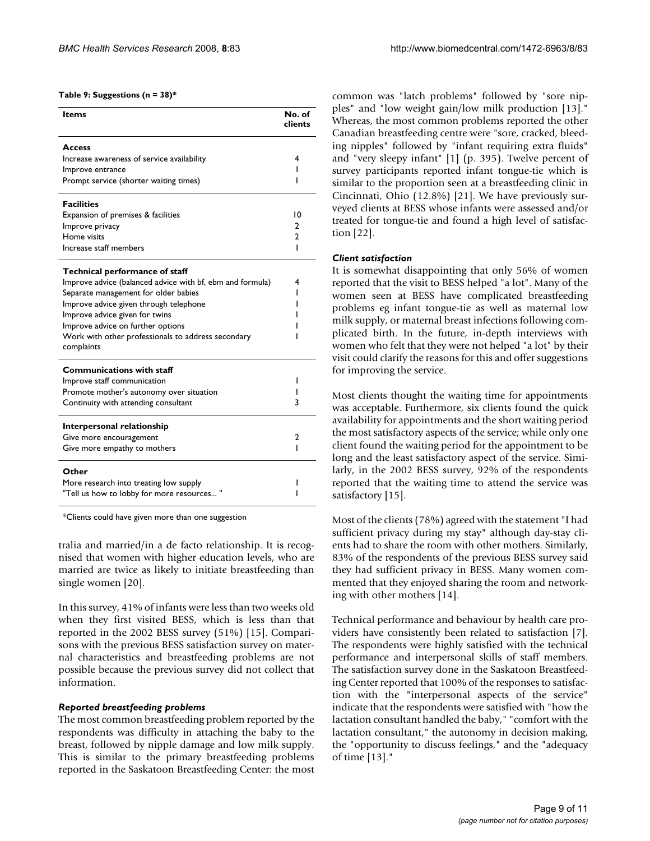#### **Table 9: Suggestions (n = 38)\***

| <b>Items</b>                                                     | No. of<br>clients |
|------------------------------------------------------------------|-------------------|
| Access                                                           |                   |
| Increase awareness of service availability                       | 4                 |
| Improve entrance                                                 |                   |
| Prompt service (shorter waiting times)                           | ı                 |
| <b>Facilities</b>                                                |                   |
| Expansion of premises & facilities                               | 10                |
| Improve privacy                                                  | 2                 |
| Home visits                                                      | 2                 |
| Increase staff members                                           | ı                 |
| Technical performance of staff                                   |                   |
| Improve advice (balanced advice with bf, ebm and formula)        | 4                 |
| Separate management for older babies                             | L                 |
| Improve advice given through telephone                           |                   |
| Improve advice given for twins                                   |                   |
| Improve advice on further options                                |                   |
| Work with other professionals to address secondary<br>complaints | ı                 |
| <b>Communications with staff</b>                                 |                   |
| Improve staff communication                                      | ı                 |
| Promote mother's autonomy over situation                         |                   |
| Continuity with attending consultant                             | 3                 |
| Interpersonal relationship                                       |                   |
| Give more encouragement                                          | 2                 |
| Give more empathy to mothers                                     | ı                 |
| Other                                                            |                   |
| More research into treating low supply                           | ı                 |
| "Tell us how to lobby for more resources"                        |                   |

\*Clients could have given more than one suggestion

tralia and married/in a de facto relationship. It is recognised that women with higher education levels, who are married are twice as likely to initiate breastfeeding than single women [20].

In this survey, 41% of infants were less than two weeks old when they first visited BESS, which is less than that reported in the 2002 BESS survey (51%) [15]. Comparisons with the previous BESS satisfaction survey on maternal characteristics and breastfeeding problems are not possible because the previous survey did not collect that information.

### *Reported breastfeeding problems*

The most common breastfeeding problem reported by the respondents was difficulty in attaching the baby to the breast, followed by nipple damage and low milk supply. This is similar to the primary breastfeeding problems reported in the Saskatoon Breastfeeding Center: the most common was "latch problems" followed by "sore nipples" and "low weight gain/low milk production [13]." Whereas, the most common problems reported the other Canadian breastfeeding centre were "sore, cracked, bleeding nipples" followed by "infant requiring extra fluids" and "very sleepy infant" [1] (p. 395). Twelve percent of survey participants reported infant tongue-tie which is similar to the proportion seen at a breastfeeding clinic in Cincinnati, Ohio (12.8%) [21]. We have previously surveyed clients at BESS whose infants were assessed and/or treated for tongue-tie and found a high level of satisfaction [22].

#### *Client satisfaction*

It is somewhat disappointing that only 56% of women reported that the visit to BESS helped "a lot". Many of the women seen at BESS have complicated breastfeeding problems eg infant tongue-tie as well as maternal low milk supply, or maternal breast infections following complicated birth. In the future, in-depth interviews with women who felt that they were not helped "a lot" by their visit could clarify the reasons for this and offer suggestions for improving the service.

Most clients thought the waiting time for appointments was acceptable. Furthermore, six clients found the quick availability for appointments and the short waiting period the most satisfactory aspects of the service; while only one client found the waiting period for the appointment to be long and the least satisfactory aspect of the service. Similarly, in the 2002 BESS survey, 92% of the respondents reported that the waiting time to attend the service was satisfactory [15].

Most of the clients (78%) agreed with the statement "I had sufficient privacy during my stay" although day-stay clients had to share the room with other mothers. Similarly, 83% of the respondents of the previous BESS survey said they had sufficient privacy in BESS. Many women commented that they enjoyed sharing the room and networking with other mothers [14].

Technical performance and behaviour by health care providers have consistently been related to satisfaction [7]. The respondents were highly satisfied with the technical performance and interpersonal skills of staff members. The satisfaction survey done in the Saskatoon Breastfeeding Center reported that 100% of the responses to satisfaction with the "interpersonal aspects of the service" indicate that the respondents were satisfied with "how the lactation consultant handled the baby," "comfort with the lactation consultant," the autonomy in decision making, the "opportunity to discuss feelings," and the "adequacy of time [13]."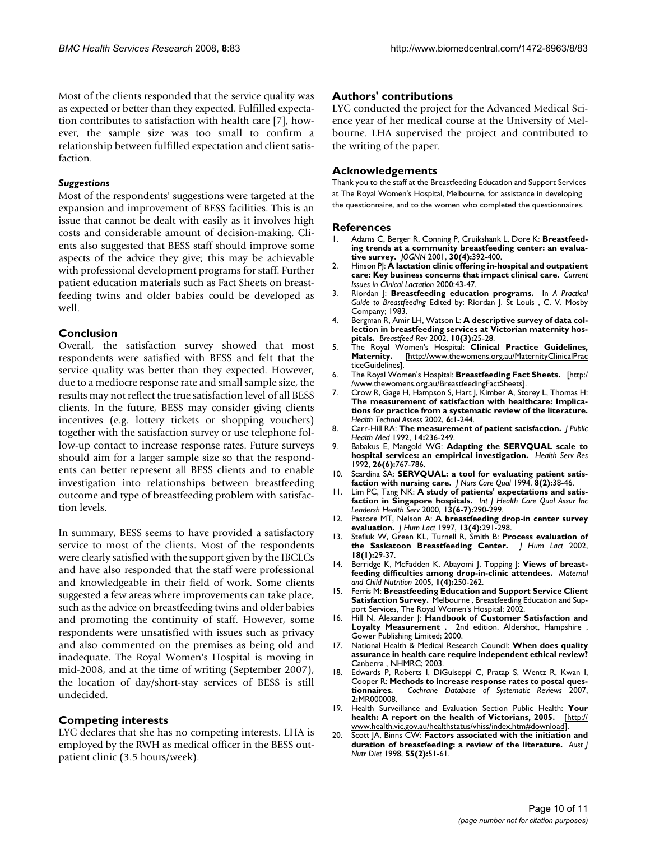Most of the clients responded that the service quality was as expected or better than they expected. Fulfilled expectation contributes to satisfaction with health care [7], however, the sample size was too small to confirm a relationship between fulfilled expectation and client satisfaction.

#### *Suggestions*

Most of the respondents' suggestions were targeted at the expansion and improvement of BESS facilities. This is an issue that cannot be dealt with easily as it involves high costs and considerable amount of decision-making. Clients also suggested that BESS staff should improve some aspects of the advice they give; this may be achievable with professional development programs for staff. Further patient education materials such as Fact Sheets on breastfeeding twins and older babies could be developed as well.

#### **Conclusion**

Overall, the satisfaction survey showed that most respondents were satisfied with BESS and felt that the service quality was better than they expected. However, due to a mediocre response rate and small sample size, the results may not reflect the true satisfaction level of all BESS clients. In the future, BESS may consider giving clients incentives (e.g. lottery tickets or shopping vouchers) together with the satisfaction survey or use telephone follow-up contact to increase response rates. Future surveys should aim for a larger sample size so that the respondents can better represent all BESS clients and to enable investigation into relationships between breastfeeding outcome and type of breastfeeding problem with satisfaction levels.

In summary, BESS seems to have provided a satisfactory service to most of the clients. Most of the respondents were clearly satisfied with the support given by the IBCLCs and have also responded that the staff were professional and knowledgeable in their field of work. Some clients suggested a few areas where improvements can take place, such as the advice on breastfeeding twins and older babies and promoting the continuity of staff. However, some respondents were unsatisfied with issues such as privacy and also commented on the premises as being old and inadequate. The Royal Women's Hospital is moving in mid-2008, and at the time of writing (September 2007), the location of day/short-stay services of BESS is still undecided.

#### **Competing interests**

LYC declares that she has no competing interests. LHA is employed by the RWH as medical officer in the BESS outpatient clinic (3.5 hours/week).

#### **Authors' contributions**

LYC conducted the project for the Advanced Medical Science year of her medical course at the University of Melbourne. LHA supervised the project and contributed to the writing of the paper.

#### **Acknowledgements**

Thank you to the staff at the Breastfeeding Education and Support Services at The Royal Women's Hospital, Melbourne, for assistance in developing the questionnaire, and to the women who completed the questionnaires.

#### **References**

- 1. Adams C, Berger R, Conning P, Cruikshank L, Dore K: **[Breastfeed](http://www.ncbi.nlm.nih.gov/entrez/query.fcgi?cmd=Retrieve&db=PubMed&dopt=Abstract&list_uids=11461023)[ing trends at a community breastfeeding center: an evalua](http://www.ncbi.nlm.nih.gov/entrez/query.fcgi?cmd=Retrieve&db=PubMed&dopt=Abstract&list_uids=11461023)[tive survey.](http://www.ncbi.nlm.nih.gov/entrez/query.fcgi?cmd=Retrieve&db=PubMed&dopt=Abstract&list_uids=11461023)** *JOGNN* 2001, **30(4):**392-400.
- 2. Hinson PJ: **A lactation clinic offering in-hospital and outpatient care: Key business concerns that impact clinical care.** *Current Issues in Clinical Lactation* 2000:43-47.
- 3. Riordan J: **Breastfeeding education programs.** In *A Practical Guide to Breastfeeding* Edited by: Riordan J. St Louis , C. V. Mosby Company; 1983.
- 4. Bergman R, Amir LH, Watson L: **[A descriptive survey of data col](http://www.ncbi.nlm.nih.gov/entrez/query.fcgi?cmd=Retrieve&db=PubMed&dopt=Abstract&list_uids=12592777)[lection in breastfeeding services at Victorian maternity hos](http://www.ncbi.nlm.nih.gov/entrez/query.fcgi?cmd=Retrieve&db=PubMed&dopt=Abstract&list_uids=12592777)[pitals.](http://www.ncbi.nlm.nih.gov/entrez/query.fcgi?cmd=Retrieve&db=PubMed&dopt=Abstract&list_uids=12592777)** *Breastfeed Rev* 2002, **10(3):**25-28.
- 5. The Royal Women's Hospital: **Clinical Practice Guidelines, Maternity.** [[http://www.thewomens.org.au/MaternityClinicalPrac](http://www.thewomens.org.au/MaternityClinicalPracticeGuidelines) [ticeGuidelines\]](http://www.thewomens.org.au/MaternityClinicalPracticeGuidelines).
- 6. The Royal Women's Hospital: **Breastfeeding Fact Sheets.** [[http:/](http://www.thewomens.org.au/BreastfeedingFactSheets) [/www.thewomens.org.au/BreastfeedingFactSheets](http://www.thewomens.org.au/BreastfeedingFactSheets)].
- 7. Crow R, Gage H, Hampson S, Hart J, Kimber A, Storey L, Thomas H: **The measurement of satisfaction with healthcare: Implica[tions for practice from a systematic review of the literature.](http://www.ncbi.nlm.nih.gov/entrez/query.fcgi?cmd=Retrieve&db=PubMed&dopt=Abstract&list_uids=12925269)** *Health Technol Assess* 2002, **6:**1-244.
- 8. Carr-Hill RA: **[The measurement of patient satisfaction.](http://www.ncbi.nlm.nih.gov/entrez/query.fcgi?cmd=Retrieve&db=PubMed&dopt=Abstract&list_uids=1419201)** *J Public Health Med* 1992, **14:**236-249.
- 9. Babakus E, Mangold WG: **[Adapting the SERVQUAL scale to](http://www.ncbi.nlm.nih.gov/entrez/query.fcgi?cmd=Retrieve&db=PubMed&dopt=Abstract&list_uids=1737708) [hospital services: an empirical investigation.](http://www.ncbi.nlm.nih.gov/entrez/query.fcgi?cmd=Retrieve&db=PubMed&dopt=Abstract&list_uids=1737708)** *Health Serv Res* 1992, **26(6):**767-786.
- 10. Scardina SA: **[SERVQUAL: a tool for evaluating patient satis](http://www.ncbi.nlm.nih.gov/entrez/query.fcgi?cmd=Retrieve&db=PubMed&dopt=Abstract&list_uids=8312593)[faction with nursing care.](http://www.ncbi.nlm.nih.gov/entrez/query.fcgi?cmd=Retrieve&db=PubMed&dopt=Abstract&list_uids=8312593)** *J Nurs Care Qual* 1994, **8(2):**38-46.
- 11. Lim PC, Tang NK: **[A study of patients' expectations and satis](http://www.ncbi.nlm.nih.gov/entrez/query.fcgi?cmd=Retrieve&db=PubMed&dopt=Abstract&list_uids=11484647)[faction in Singapore hospitals.](http://www.ncbi.nlm.nih.gov/entrez/query.fcgi?cmd=Retrieve&db=PubMed&dopt=Abstract&list_uids=11484647)** *Int J Health Care Qual Assur Inc Leadersh Health Serv* 2000, **13(6-7):**290-299.
- 12. Pastore MT, Nelson A: **[A breastfeeding drop-in center survey](http://www.ncbi.nlm.nih.gov/entrez/query.fcgi?cmd=Retrieve&db=PubMed&dopt=Abstract&list_uids=9429364) [evaluation.](http://www.ncbi.nlm.nih.gov/entrez/query.fcgi?cmd=Retrieve&db=PubMed&dopt=Abstract&list_uids=9429364)** *J Hum Lact* 1997, **13(4):**291-298.
- 13. Stefiuk W, Green KL, Turnell R, Smith B: **[Process evaluation of](http://www.ncbi.nlm.nih.gov/entrez/query.fcgi?cmd=Retrieve&db=PubMed&dopt=Abstract&list_uids=11845734) [the Saskatoon Breastfeeding Center.](http://www.ncbi.nlm.nih.gov/entrez/query.fcgi?cmd=Retrieve&db=PubMed&dopt=Abstract&list_uids=11845734)** *J Hum Lact* 2002, **18(1):**29-37.
- 14. Berridge K, McFadden K, Abayomi J, Topping J: **Views of breastfeeding difficulties among drop-in-clinic attendees.** *Maternal and Child Nutrition* 2005, **1(4):**250-262.
- 15. Ferris M: **Breastfeeding Education and Support Service Client Satisfaction Survey.** Melbourne , Breastfeeding Education and Support Services, The Royal Women's Hospital; 2002.
- 16. Hill N, Alexander J: Handbook of Customer Satisfaction and **Loyalty Measurement .** 2nd edition. Aldershot, Hampshire , Gower Publishing Limited; 2000.
- 17. National Health & Medical Research Council: **When does quality assurance in health care require independent ethical review?** Canberra , NHMRC; 2003.
- Edwards P, Roberts I, DiGuiseppi C, Pratap S, Wentz R, Kwan I, Cooper R: **Methods to increase response rates to postal questionnaires.** *Cochrane Database of Systematic Reviews* 2007, **2:**MR000008.
- 19. Health Surveillance and Evaluation Section Public Health: **Your health: A report on the health of Victorians, 2005.** [\[http://](http://www.health.vic.gov.au/healthstatus/vhiss/index.htm#download) [www.health.vic.gov.au/healthstatus/vhiss/index.htm#download\]](http://www.health.vic.gov.au/healthstatus/vhiss/index.htm#download).
- 20. Scott JA, Binns CW: **Factors associated with the initiation and duration of breastfeeding: a review of the literature.** *Aust J Nutr Diet* 1998, **55(2):**51-61.